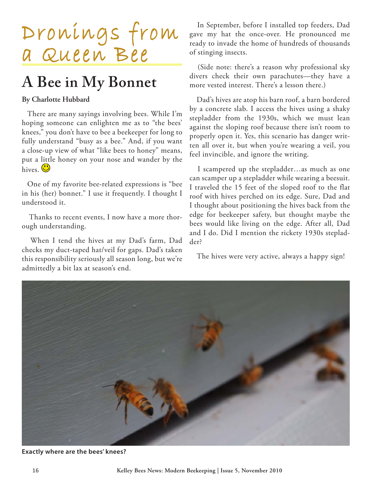

## **A Bee in My Bonnet**

## **By Charlotte Hubbard**

There are many sayings involving bees. While I'm hoping someone can enlighten me as to "the bees' knees," you don't have to bee a beekeeper for long to fully understand "busy as a bee." And, if you want a close-up view of what "like bees to honey" means, put a little honey on your nose and wander by the hives.  $\bigcirc$ 

One of my favorite bee-related expressions is "bee in his (her) bonnet." I use it frequently. I thought I understood it.

 Thanks to recent events, I now have a more thorough understanding.

 When I tend the hives at my Dad's farm, Dad checks my duct-taped hat/veil for gaps. Dad's taken this responsibility seriously all season long, but we're admittedly a bit lax at season's end.

 In September, before I installed top feeders, Dad gave my hat the once-over. He pronounced me ready to invade the home of hundreds of thousands of stinging insects.

 (Side note: there's a reason why professional sky divers check their own parachutes—they have a more vested interest. There's a lesson there.)

 Dad's hives are atop his barn roof, a barn bordered by a concrete slab. I access the hives using a shaky stepladder from the 1930s, which we must lean against the sloping roof because there isn't room to properly open it. Yes, this scenario has danger written all over it, but when you're wearing a veil, you feel invincible, and ignore the writing.

 I scampered up the stepladder…as much as one can scamper up a stepladder while wearing a beesuit. I traveled the 15 feet of the sloped roof to the flat roof with hives perched on its edge. Sure, Dad and I thought about positioning the hives back from the edge for beekeeper safety, but thought maybe the bees would like living on the edge. After all, Dad and I do. Did I mention the rickety 1930s stepladder?

The hives were very active, always a happy sign!



**Exactly where are the bees' knees?**